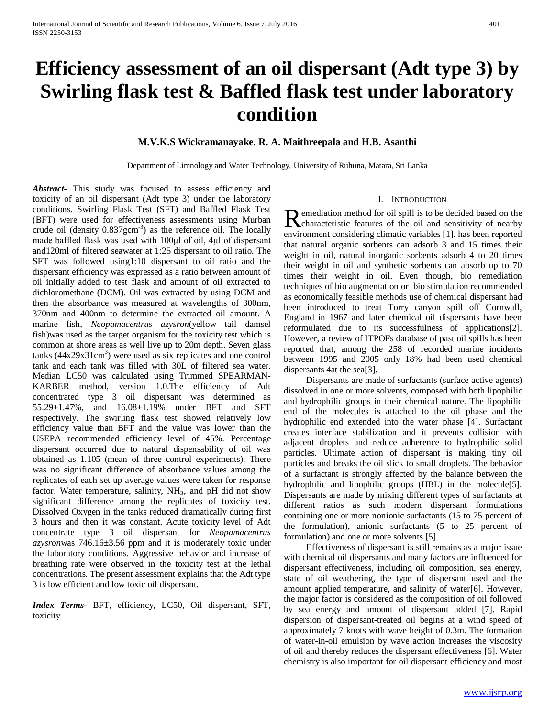# **Efficiency assessment of an oil dispersant (Adt type 3) by Swirling flask test & Baffled flask test under laboratory condition**

## **M.V.K.S Wickramanayake, R. A. Maithreepala and H.B. Asanthi**

Department of Limnology and Water Technology, University of Ruhuna, Matara, Sri Lanka

*Abstract***-** This study was focused to assess efficiency and toxicity of an oil dispersant (Adt type 3) under the laboratory conditions. Swirling Flask Test (SFT) and Baffled Flask Test (BFT) were used for effectiveness assessments using Murban crude oil (density  $0.837$ gcm<sup>-3</sup>) as the reference oil. The locally made baffled flask was used with 100μl of oil, 4μl of dispersant and120ml of filtered seawater at 1:25 dispersant to oil ratio. The SFT was followed using1:10 dispersant to oil ratio and the dispersant efficiency was expressed as a ratio between amount of oil initially added to test flask and amount of oil extracted to dichloromethane (DCM). Oil was extracted by using DCM and then the absorbance was measured at wavelengths of 300nm, 370nm and 400nm to determine the extracted oil amount. A marine fish, *Neopamacentrus azysron*(yellow tail damsel fish)was used as the target organism for the toxicity test which is common at shore areas as well live up to 20m depth. Seven glass  $tanks (44x29x31cm<sup>3</sup>)$  were used as six replicates and one control tank and each tank was filled with 30L of filtered sea water. Median LC50 was calculated using Trimmed SPEARMAN-KARBER method, version 1.0.The efficiency of Adt concentrated type 3 oil dispersant was determined as 55.29±1.47%, and 16.08±1.19% under BFT and SFT respectively. The swirling flask test showed relatively low efficiency value than BFT and the value was lower than the USEPA recommended efficiency level of 45%. Percentage dispersant occurred due to natural dispensability of oil was obtained as 1.105 (mean of three control experiments). There was no significant difference of absorbance values among the replicates of each set up average values were taken for response factor. Water temperature, salinity,  $NH<sub>3</sub>$ , and pH did not show significant difference among the replicates of toxicity test. Dissolved Oxygen in the tanks reduced dramatically during first 3 hours and then it was constant. Acute toxicity level of Adt concentrate type 3 oil dispersant for *Neopamacentrus azysron*was 746.16±3.56 ppm and it is moderately toxic under the laboratory conditions. Aggressive behavior and increase of breathing rate were observed in the toxicity test at the lethal concentrations. The present assessment explains that the Adt type 3 is low efficient and low toxic oil dispersant.

*Index Terms*- BFT, efficiency, LC50, Oil dispersant, SFT, toxicity

#### I. INTRODUCTION

**n** emediation method for oil spill is to be decided based on the Remediation method for oil spill is to be decided based on the characteristic features of the oil and sensitivity of nearby environment considering climatic variables [1]. has been reported that natural organic sorbents can adsorb 3 and 15 times their weight in oil, natural inorganic sorbents adsorb 4 to 20 times their weight in oil and synthetic sorbents can absorb up to 70 times their weight in oil. Even though, bio remediation techniques of bio augmentation or bio stimulation recommended as economically feasible methods use of chemical dispersant had been introduced to treat Torry canyon spill off Cornwall, England in 1967 and later chemical oil dispersants have been reformulated due to its successfulness of applications[2]. However, a review of ITPOFs database of past oil spills has been reported that, among the 258 of recorded marine incidents between 1995 and 2005 only 18% had been used chemical dispersants 4at the sea[3].

 Dispersants are made of surfactants (surface active agents) dissolved in one or more solvents, composed with both lipophilic and hydrophilic groups in their chemical nature. The lipophilic end of the molecules is attached to the oil phase and the hydrophilic end extended into the water phase [4]. Surfactant creates interface stabilization and it prevents collision with adjacent droplets and reduce adherence to hydrophilic solid particles. Ultimate action of dispersant is making tiny oil particles and breaks the oil slick to small droplets. The behavior of a surfactant is strongly affected by the balance between the hydrophilic and lipophilic groups (HBL) in the molecule<sup>[5]</sup>. Dispersants are made by mixing different types of surfactants at different ratios as such modern dispersant formulations containing one or more nonionic surfactants (15 to 75 percent of the formulation), anionic surfactants (5 to 25 percent of formulation) and one or more solvents [5].

 Effectiveness of dispersant is still remains as a major issue with chemical oil dispersants and many factors are influenced for dispersant effectiveness, including oil composition, sea energy, state of oil weathering, the type of dispersant used and the amount applied temperature, and salinity of water[6]. However, the major factor is considered as the composition of oil followed by sea energy and amount of dispersant added [7]. Rapid dispersion of dispersant-treated oil begins at a wind speed of approximately 7 knots with wave height of 0.3m. The formation of water-in-oil emulsion by wave action increases the viscosity of oil and thereby reduces the dispersant effectiveness [6]. Water chemistry is also important for oil dispersant efficiency and most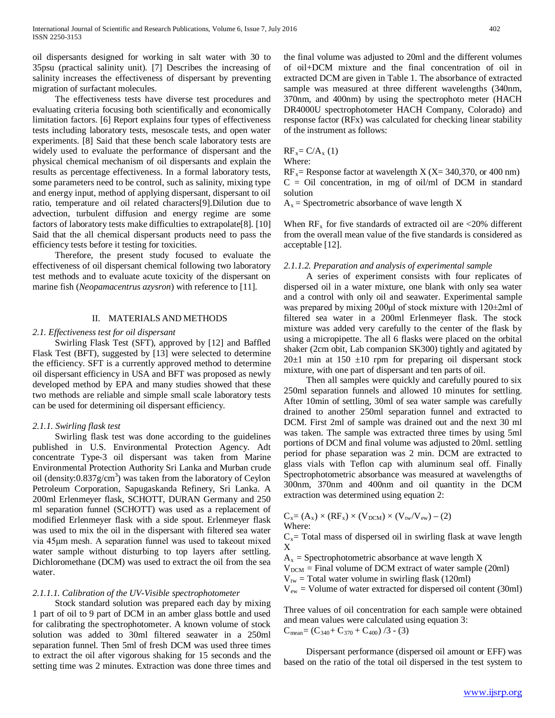oil dispersants designed for working in salt water with 30 to 35psu (practical salinity unit). [7] Describes the increasing of salinity increases the effectiveness of dispersant by preventing migration of surfactant molecules.

 The effectiveness tests have diverse test procedures and evaluating criteria focusing both scientifically and economically limitation factors. [6] Report explains four types of effectiveness tests including laboratory tests, mesoscale tests, and open water experiments. [8] Said that these bench scale laboratory tests are widely used to evaluate the performance of dispersant and the physical chemical mechanism of oil dispersants and explain the results as percentage effectiveness. In a formal laboratory tests, some parameters need to be control, such as salinity, mixing type and energy input, method of applying dispersant, dispersant to oil ratio, temperature and oil related characters[9].Dilution due to advection, turbulent diffusion and energy regime are some factors of laboratory tests make difficulties to extrapolate[8]. [10] Said that the all chemical dispersant products need to pass the efficiency tests before it testing for toxicities.

 Therefore, the present study focused to evaluate the effectiveness of oil dispersant chemical following two laboratory test methods and to evaluate acute toxicity of the dispersant on marine fish (*Neopamacentrus azysron*) with reference to [11].

## II. MATERIALS AND METHODS

#### *2.1. Effectiveness test for oil dispersant*

 Swirling Flask Test (SFT), approved by [12] and Baffled Flask Test (BFT), suggested by [13] were selected to determine the efficiency. SFT is a currently approved method to determine oil dispersant efficiency in USA and BFT was proposed as newly developed method by EPA and many studies showed that these two methods are reliable and simple small scale laboratory tests can be used for determining oil dispersant efficiency.

#### *2.1.1. Swirling flask test*

 Swirling flask test was done according to the guidelines published in U.S. Environmental Protection Agency. Adt concentrate Type-3 oil dispersant was taken from Marine Environmental Protection Authority Sri Lanka and Murban crude oil (density: $0.837$ g/cm<sup>3</sup>) was taken from the laboratory of Ceylon Petroleum Corporation, Sapugaskanda Refinery, Sri Lanka. A 200ml Erlenmeyer flask, SCHOTT, DURAN Germany and 250 ml separation funnel (SCHOTT) was used as a replacement of modified Erlenmeyer flask with a side spout. Erlenmeyer flask was used to mix the oil in the dispersant with filtered sea water via 45μm mesh. A separation funnel was used to takeout mixed water sample without disturbing to top layers after settling. Dichloromethane (DCM) was used to extract the oil from the sea water.

#### *2.1.1.1. Calibration of the UV-Visible spectrophotometer*

 Stock standard solution was prepared each day by mixing 1 part of oil to 9 part of DCM in an amber glass bottle and used for calibrating the spectrophotometer. A known volume of stock solution was added to 30ml filtered seawater in a 250ml separation funnel. Then 5ml of fresh DCM was used three times to extract the oil after vigorous shaking for 15 seconds and the setting time was 2 minutes. Extraction was done three times and the final volume was adjusted to 20ml and the different volumes of oil+DCM mixture and the final concentration of oil in extracted DCM are given in Table 1. The absorbance of extracted sample was measured at three different wavelengths (340nm, 370nm, and 400nm) by using the spectrophoto meter (HACH DR4000U spectrophotometer HACH Company, Colorado) and response factor (RFx) was calculated for checking linear stability of the instrument as follows:

 $RF_x = C/A_x (1)$ Where:

 $RF_x$  Response factor at wavelength X (X= 340,370, or 400 nm)  $C = Oil$  concentration, in mg of oil/ml of DCM in standard solution

 $A_x =$  Spectrometric absorbance of wave length X

When  $RF_x$  for five standards of extracted oil are <20% different from the overall mean value of the five standards is considered as acceptable [12].

#### *2.1.1.2. Preparation and analysis of experimental sample*

 A series of experiment consists with four replicates of dispersed oil in a water mixture, one blank with only sea water and a control with only oil and seawater. Experimental sample was prepared by mixing 200μl of stock mixture with 120±2ml of filtered sea water in a 200ml Erlenmeyer flask. The stock mixture was added very carefully to the center of the flask by using a micropipette. The all 6 flasks were placed on the orbital shaker (2cm obit, Lab companion SK300) tightly and agitated by  $20±1$  min at 150  $±10$  rpm for preparing oil dispersant stock mixture, with one part of dispersant and ten parts of oil.

 Then all samples were quickly and carefully poured to six 250ml separation funnels and allowed 10 minutes for settling. After 10min of settling, 30ml of sea water sample was carefully drained to another 250ml separation funnel and extracted to DCM. First 2ml of sample was drained out and the next 30 ml was taken. The sample was extracted three times by using 5ml portions of DCM and final volume was adjusted to 20ml. settling period for phase separation was 2 min. DCM are extracted to glass vials with Teflon cap with aluminum seal off. Finally Spectrophotometric absorbance was measured at wavelengths of 300nm, 370nm and 400nm and oil quantity in the DCM extraction was determined using equation 2:

$$
C_x = (A_x) \times (RF_x) \times (V_{DCM}) \times (V_{tw}/V_{ew}) - (2)
$$
  
Where:

 $C_x$ = Total mass of dispersed oil in swirling flask at wave length X

 $A_x$  = Spectrophotometric absorbance at wave length X

 $V_{DCM}$  = Final volume of DCM extract of water sample (20ml)

 $V_{tw}$  = Total water volume in swirling flask (120ml)

 $V_{ew}$  = Volume of water extracted for dispersed oil content (30ml)

Three values of oil concentration for each sample were obtained and mean values were calculated using equation 3:  $C_{\text{mean}} = (C_{340} + C_{370} + C_{400}) / 3$  - (3)

 Dispersant performance (dispersed oil amount or EFF) was based on the ratio of the total oil dispersed in the test system to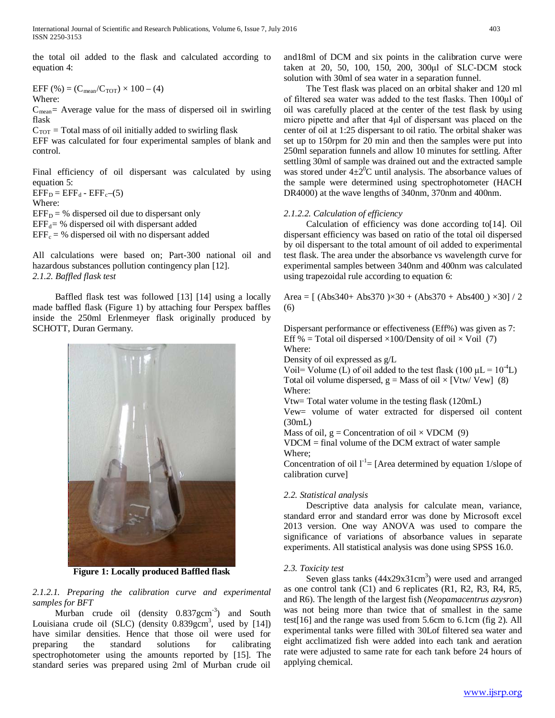the total oil added to the flask and calculated according to equation 4:

#### EFF (%) =  $(C_{mean}/C_{TOT}) \times 100 - (4)$ Where:

 $C_{\text{mean}}$  = Average value for the mass of dispersed oil in swirling flask

 $C_{TOT}$  = Total mass of oil initially added to swirling flask EFF was calculated for four experimental samples of blank and control.

Final efficiency of oil dispersant was calculated by using equation 5:  $EFF_D = EFF_d - EFF_c-(5)$ 

Where:  $EFF_D = %$  dispersed oil due to dispersant only  $EFF_d$ = % dispersed oil with dispersant added

 $EFF_c = %$  dispersed oil with no dispersant added

All calculations were based on; Part-300 national oil and hazardous substances pollution contingency plan [12]. *2.1.2. Baffled flask test* 

 Baffled flask test was followed [13] [14] using a locally made baffled flask (Figure 1) by attaching four Perspex baffles inside the 250ml Erlenmeyer flask originally produced by SCHOTT, Duran Germany.



**Figure 1: Locally produced Baffled flask**

*2.1.2.1. Preparing the calibration curve and experimental samples for BFT*

Murban crude oil (density 0.837gcm<sup>-3</sup>) and South Louisiana crude oil (SLC) (density  $0.839$ gcm<sup>3</sup>, used by [14]) have similar densities. Hence that those oil were used for preparing the standard solutions for calibrating the standard solutions for calibrating spectrophotometer using the amounts reported by [15]. The standard series was prepared using 2ml of Murban crude oil

and18ml of DCM and six points in the calibration curve were taken at 20, 50, 100, 150, 200, 300μl of SLC-DCM stock solution with 30ml of sea water in a separation funnel.

 The Test flask was placed on an orbital shaker and 120 ml of filtered sea water was added to the test flasks. Then 100μl of oil was carefully placed at the center of the test flask by using micro pipette and after that 4μl of dispersant was placed on the center of oil at 1:25 dispersant to oil ratio. The orbital shaker was set up to 150rpm for 20 min and then the samples were put into 250ml separation funnels and allow 10 minutes for settling. After settling 30ml of sample was drained out and the extracted sample was stored under  $4\pm 2^0C$  until analysis. The absorbance values of the sample were determined using spectrophotometer (HACH DR4000) at the wave lengths of 340nm, 370nm and 400nm.

## *2.1.2.2. Calculation of efficiency*

 Calculation of efficiency was done according to[14]. Oil dispersant efficiency was based on ratio of the total oil dispersed by oil dispersant to the total amount of oil added to experimental test flask. The area under the absorbance vs wavelength curve for experimental samples between 340nm and 400nm was calculated using trapezoidal rule according to equation 6:

Area =  $[(Abs340+Abs370) \times 30 + (Abs370 + Abs400) \times 30]/2$ (6)

Dispersant performance or effectiveness (Eff%) was given as 7: Eff % = Total oil dispersed  $\times$ 100/Density of oil  $\times$  Voil (7) Where:

Density of oil expressed as g/L

Voil= Volume (L) of oil added to the test flask (100  $\mu$ L = 10<sup>-4</sup>L) Total oil volume dispersed,  $g = Mass$  of oil  $\times$  [Vtw/ Vew] (8) Where:

Vtw= Total water volume in the testing flask (120mL)

Vew= volume of water extracted for dispersed oil content (30mL)

Mass of oil,  $g =$  Concentration of oil  $\times$  VDCM (9)

VDCM = final volume of the DCM extract of water sample Where;

Concentration of oil  $l^{-1}$  [Area determined by equation 1/slope of calibration curve]

## *2.2. Statistical analysis*

 Descriptive data analysis for calculate mean, variance, standard error and standard error was done by Microsoft excel 2013 version. One way ANOVA was used to compare the significance of variations of absorbance values in separate experiments. All statistical analysis was done using SPSS 16.0.

## *2.3. Toxicity test*

Seven glass tanks  $(44x29x31cm<sup>3</sup>)$  were used and arranged as one control tank (C1) and 6 replicates (R1, R2, R3, R4, R5, and R6). The length of the largest fish (*Neopamacentrus azysron*) was not being more than twice that of smallest in the same test[16] and the range was used from 5.6cm to 6.1cm (fig 2). All experimental tanks were filled with 30Lof filtered sea water and eight acclimatized fish were added into each tank and aeration rate were adjusted to same rate for each tank before 24 hours of applying chemical.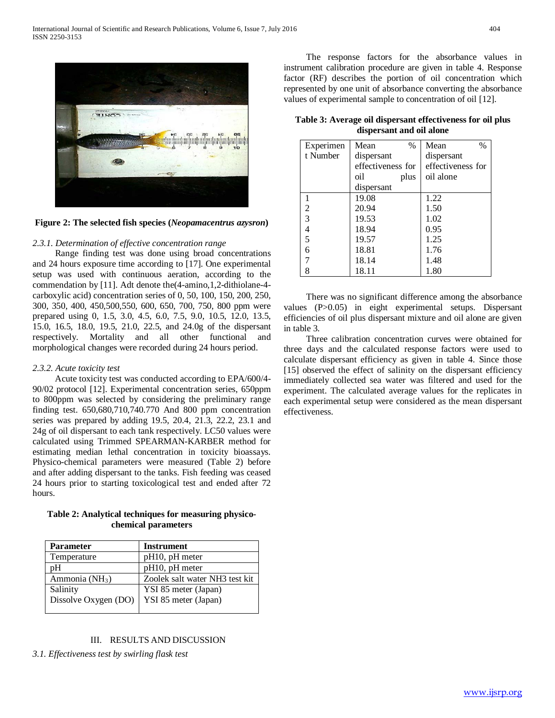



#### *2.3.1. Determination of effective concentration range*

 Range finding test was done using broad concentrations and 24 hours exposure time according to [17]. One experimental setup was used with continuous aeration, according to the commendation by [11]. Adt denote the(4-amino,1,2-dithiolane-4 carboxylic acid) concentration series of 0, 50, 100, 150, 200, 250, 300, 350, 400, 450,500,550, 600, 650, 700, 750, 800 ppm were prepared using 0, 1.5, 3.0, 4.5, 6.0, 7.5, 9.0, 10.5, 12.0, 13.5, 15.0, 16.5, 18.0, 19.5, 21.0, 22.5, and 24.0g of the dispersant respectively. Mortality and all other functional and morphological changes were recorded during 24 hours period.

#### *2.3.2. Acute toxicity test*

 Acute toxicity test was conducted according to EPA/600/4- 90/02 protocol [12]. Experimental concentration series, 650ppm to 800ppm was selected by considering the preliminary range finding test. 650,680,710,740.770 And 800 ppm concentration series was prepared by adding 19.5, 20.4, 21.3, 22.2, 23.1 and 24g of oil dispersant to each tank respectively. LC50 values were calculated using Trimmed SPEARMAN-KARBER method for estimating median lethal concentration in toxicity bioassays. Physico-chemical parameters were measured (Table 2) before and after adding dispersant to the tanks. Fish feeding was ceased 24 hours prior to starting toxicological test and ended after 72 hours.

**Table 2: Analytical techniques for measuring physicochemical parameters**

| <b>Parameter</b>     | <b>Instrument</b>              |
|----------------------|--------------------------------|
| Temperature          | $pH10$ , $pH$ meter            |
| pН                   | $pH10$ , $pH$ meter            |
| Ammonia ( $NH3$ )    | Zoolek salt water NH3 test kit |
| Salinity             | YSI 85 meter (Japan)           |
| Dissolve Oxygen (DO) | YSI 85 meter (Japan)           |
|                      |                                |

## III. RESULTS AND DISCUSSION

*3.1. Effectiveness test by swirling flask test* 

 The response factors for the absorbance values in instrument calibration procedure are given in table 4. Response factor (RF) describes the portion of oil concentration which represented by one unit of absorbance converting the absorbance values of experimental sample to concentration of oil [12].

**Table 3: Average oil dispersant effectiveness for oil plus dispersant and oil alone**

| Experimen | Mean<br>$\%$      | Mean<br>$\%$      |
|-----------|-------------------|-------------------|
| t Number  | dispersant        | dispersant        |
|           | effectiveness for | effectiveness for |
|           | oil<br>plus       | oil alone         |
|           | dispersant        |                   |
|           | 19.08             | 1.22              |
| 2         | 20.94             | 1.50              |
| 3         | 19.53             | 1.02              |
| 4         | 18.94             | 0.95              |
| 5         | 19.57             | 1.25              |
| б         | 18.81             | 1.76              |
|           | 18.14             | 1.48              |
| 8         | 18.11             | 1.80              |

 There was no significant difference among the absorbance values (P>0.05) in eight experimental setups. Dispersant efficiencies of oil plus dispersant mixture and oil alone are given in table 3.

 Three calibration concentration curves were obtained for three days and the calculated response factors were used to calculate dispersant efficiency as given in table 4. Since those [15] observed the effect of salinity on the dispersant efficiency immediately collected sea water was filtered and used for the experiment. The calculated average values for the replicates in each experimental setup were considered as the mean dispersant effectiveness.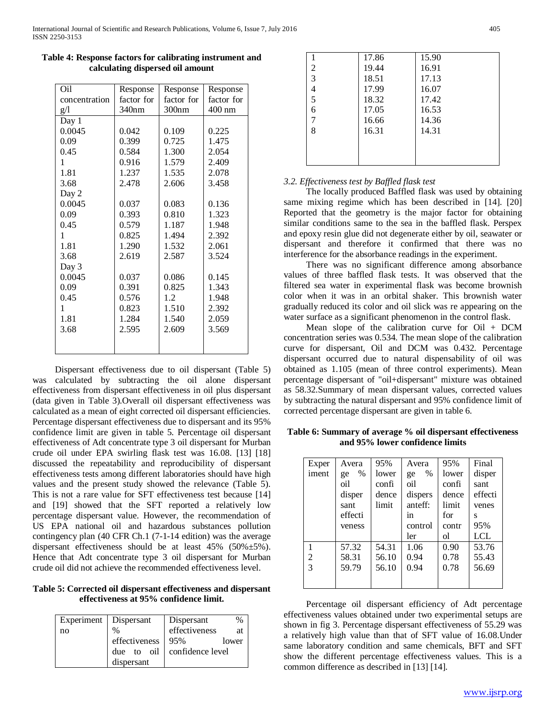| Oil           | Response   | Response   | Response         |
|---------------|------------|------------|------------------|
| concentration | factor for | factor for | factor for       |
| g/l           | 340nm      | 300nm      | $400 \text{ nm}$ |
| Day 1         |            |            |                  |
| 0.0045        | 0.042      | 0.109      | 0.225            |
| 0.09          | 0.399      | 0.725      | 1.475            |
| 0.45          | 0.584      | 1.300      | 2.054            |
| 1             | 0.916      | 1.579      | 2.409            |
| 1.81          | 1.237      | 1.535      | 2.078            |
| 3.68          | 2.478      | 2.606      | 3.458            |
| Day 2         |            |            |                  |
| 0.0045        | 0.037      | 0.083      | 0.136            |
| 0.09          | 0.393      | 0.810      | 1.323            |
| 0.45          | 0.579      | 1.187      | 1.948            |
| 1             | 0.825      | 1.494      | 2.392            |
| 1.81          | 1.290      | 1.532      | 2.061            |
| 3.68          | 2.619      | 2.587      | 3.524            |
| Day 3         |            |            |                  |
| 0.0045        | 0.037      | 0.086      | 0.145            |
| 0.09          | 0.391      | 0.825      | 1.343            |
| 0.45          | 0.576      | 1.2        | 1.948            |
| $\mathbf{1}$  | 0.823      | 1.510      | 2.392            |
| 1.81          | 1.284      | 1.540      | 2.059            |
| 3.68          | 2.595      | 2.609      | 3.569            |
|               |            |            |                  |
|               |            |            |                  |

**Table 4: Response factors for calibrating instrument and calculating dispersed oil amount**

 Dispersant effectiveness due to oil dispersant (Table 5) was calculated by subtracting the oil alone dispersant effectiveness from dispersant effectiveness in oil plus dispersant (data given in Table 3).Overall oil dispersant effectiveness was calculated as a mean of eight corrected oil dispersant efficiencies. Percentage dispersant effectiveness due to dispersant and its 95% confidence limit are given in table 5. Percentage oil dispersant effectiveness of Adt concentrate type 3 oil dispersant for Murban crude oil under EPA swirling flask test was 16.08. [13] [18] discussed the repeatability and reproducibility of dispersant effectiveness tests among different laboratories should have high values and the present study showed the relevance (Table 5). This is not a rare value for SFT effectiveness test because [14] and [19] showed that the SFT reported a relatively low percentage dispersant value. However, the recommendation of US EPA national oil and hazardous substances pollution contingency plan (40 CFR Ch.1 (7-1-14 edition) was the average dispersant effectiveness should be at least 45% (50%±5%). Hence that Adt concentrate type 3 oil dispersant for Murban crude oil did not achieve the recommended effectiveness level.

**Table 5: Corrected oil dispersant effectiveness and dispersant effectiveness at 95% confidence limit.**

| Experiment   Dispersant |               | Dispersant<br>%             |
|-------------------------|---------------|-----------------------------|
| no                      | $\%$          | effectiveness<br><b>at</b>  |
|                         | effectiveness | 95%<br>lower                |
|                         |               | due to oil confidence level |
|                         | dispersant    |                             |

|   | 17.86 | 15.90 |  |
|---|-------|-------|--|
| 2 | 19.44 | 16.91 |  |
| 3 | 18.51 | 17.13 |  |
| 4 | 17.99 | 16.07 |  |
| 5 | 18.32 | 17.42 |  |
| 6 | 17.05 | 16.53 |  |
| 7 | 16.66 | 14.36 |  |
| 8 | 16.31 | 14.31 |  |
|   |       |       |  |
|   |       |       |  |
|   |       |       |  |

## *3.2. Effectiveness test by Baffled flask test*

 The locally produced Baffled flask was used by obtaining same mixing regime which has been described in [14]. [20] Reported that the geometry is the major factor for obtaining similar conditions same to the sea in the baffled flask. Perspex and epoxy resin glue did not degenerate either by oil, seawater or dispersant and therefore it confirmed that there was no interference for the absorbance readings in the experiment.

 There was no significant difference among absorbance values of three baffled flask tests. It was observed that the filtered sea water in experimental flask was become brownish color when it was in an orbital shaker. This brownish water gradually reduced its color and oil slick was re appearing on the water surface as a significant phenomenon in the control flask.

 Mean slope of the calibration curve for Oil + DCM concentration series was 0.534. The mean slope of the calibration curve for dispersant, Oil and DCM was 0.432. Percentage dispersant occurred due to natural dispensability of oil was obtained as 1.105 (mean of three control experiments). Mean percentage dispersant of "oil+dispersant" mixture was obtained as 58.32.Summary of mean dispersant values, corrected values by subtracting the natural dispersant and 95% confidence limit of corrected percentage dispersant are given in table 6.

**Table 6: Summary of average % oil dispersant effectiveness and 95% lower confidence limits**

| Exper | Avera   | 95%   | Avera         | 95%   | Final   |
|-------|---------|-------|---------------|-------|---------|
| iment | %<br>ge | lower | $\%$<br>ge    | lower | disper  |
|       | oil     | confi | oil           | confi | sant    |
|       | disper  | dence | dispers       | dence | effecti |
|       | sant    | limit | anteff:       | limit | venes   |
|       | effecti |       | <sub>in</sub> | for   | S       |
|       | veness  |       | control       | contr | 95%     |
|       |         |       | ler           | оl    | LCL     |
|       | 57.32   | 54.31 | 1.06          | 0.90  | 53.76   |
| 2     | 58.31   | 56.10 | 0.94          | 0.78  | 55.43   |
| 3     | 59.79   | 56.10 | 0.94          | 0.78  | 56.69   |
|       |         |       |               |       |         |
|       |         |       |               |       |         |

 Percentage oil dispersant efficiency of Adt percentage effectiveness values obtained under two experimental setups are shown in fig 3. Percentage dispersant effectiveness of 55.29 was a relatively high value than that of SFT value of 16.08.Under same laboratory condition and same chemicals, BFT and SFT show the different percentage effectiveness values. This is a common difference as described in [13] [14].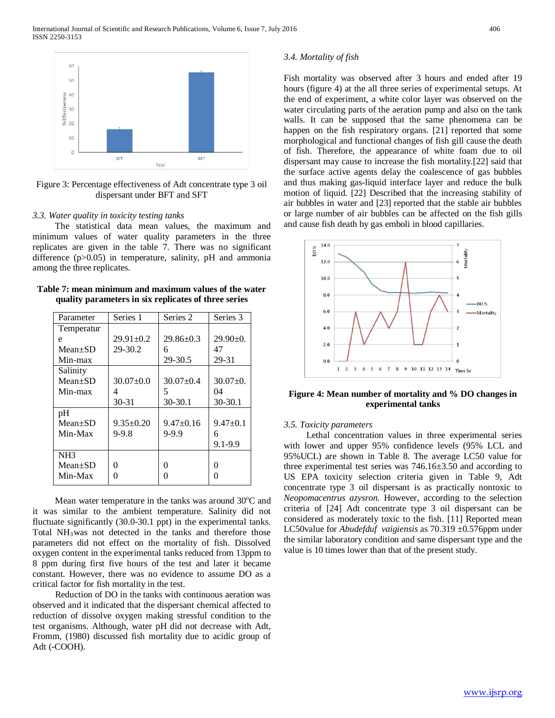

Figure 3: Percentage effectiveness of Adt concentrate type 3 oil dispersant under BFT and SFT

#### *3.3. Water quality in toxicity testing tanks*

 The statistical data mean values, the maximum and minimum values of water quality parameters in the three replicates are given in the table 7. There was no significant difference (p>0.05) in temperature, salinity, pH and ammonia among the three replicates.

**Table 7: mean minimum and maximum values of the water quality parameters in six replicates of three series**

| Parameter       | Series 1        | Series 2        | Series 3          |
|-----------------|-----------------|-----------------|-------------------|
| Temperatur      |                 |                 |                   |
| e               | $29.91 \pm 0.2$ | $29.86 \pm 0.3$ | $29.90+0.$        |
| $Mean \pm SD$   | 29-30.2         | 6               | 47                |
| Min-max         |                 | 29-30.5         | 29-31             |
| Salinity        |                 |                 |                   |
| $Mean \pm SD$   | $30.07+0.0$     | $30.07 + 0.4$   | $30.07+0.$        |
| Min-max         | 4               | 5               | 04                |
|                 |                 |                 |                   |
|                 | $30 - 31$       | 30-30.1         | $30-30.1$         |
| pH              |                 |                 |                   |
| $Mean \pm SD$   | $9.35 \pm 0.20$ | $9.47+0.16$     | $9.47 \pm 0.1$    |
| Min-Max         | $9 - 9.8$       | $9 - 9.9$       | 6                 |
|                 |                 |                 | $9.1 - 9.9$       |
| NH <sub>3</sub> |                 |                 |                   |
| $Mean \pm SD$   | $\mathbf{0}$    | 0               | $\mathbf{\Omega}$ |
| Min-Max         |                 | 0               |                   |

Mean water temperature in the tanks was around  $30^{\circ}$ C and it was similar to the ambient temperature. Salinity did not fluctuate significantly (30.0-30.1 ppt) in the experimental tanks. Total  $NH_3$ was not detected in the tanks and therefore those parameters did not effect on the mortality of fish. Dissolved oxygen content in the experimental tanks reduced from 13ppm to 8 ppm during first five hours of the test and later it became constant. However, there was no evidence to assume DO as a critical factor for fish mortality in the test.

 Reduction of DO in the tanks with continuous aeration was observed and it indicated that the dispersant chemical affected to reduction of dissolve oxygen making stressful condition to the test organisms. Although, water pH did not decrease with Adt, Fromm, (1980) discussed fish mortality due to acidic group of Adt (-COOH).

#### *3.4. Mortality of fish*

Fish mortality was observed after 3 hours and ended after 19 hours (figure 4) at the all three series of experimental setups. At the end of experiment, a white color layer was observed on the water circulating parts of the aeration pump and also on the tank walls. It can be supposed that the same phenomena can be happen on the fish respiratory organs. [21] reported that some morphological and functional changes of fish gill cause the death of fish. Therefore, the appearance of white foam due to oil dispersant may cause to increase the fish mortality.[22] said that the surface active agents delay the coalescence of gas bubbles and thus making gas-liquid interface layer and reduce the bulk motion of liquid. [22] Described that the increasing stability of air bubbles in water and [23] reported that the stable air bubbles or large number of air bubbles can be affected on the fish gills and cause fish death by gas emboli in blood capillaries.



**Figure 4: Mean number of mortality and % DO changes in experimental tanks**

#### *3.5. Toxicity parameters*

 Lethal concentration values in three experimental series with lower and upper 95% confidence levels (95% LCL and 95%UCL) are shown in Table 8. The average LC50 value for three experimental test series was 746.16±3.50 and according to US EPA toxicity selection criteria given in Table 9, Adt concentrate type 3 oil dispersant is as practically nontoxic to *Neopomacentrus azysron.* However, according to the selection criteria of [24] Adt concentrate type 3 oil dispersant can be considered as moderately toxic to the fish. [11] Reported mean LC50value for *Abudefduf vaigiensis* as 70.319 ±0.576ppm under the similar laboratory condition and same dispersant type and the value is 10 times lower than that of the present study.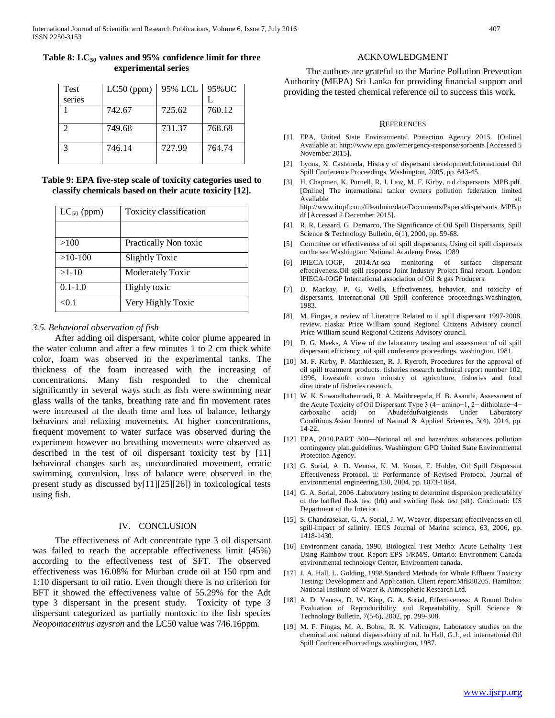| Table 8: $LC_{50}$ values and 95% confidence limit for three |  |  |
|--------------------------------------------------------------|--|--|
| experimental series                                          |  |  |

| <b>Test</b>   | $LC50$ (ppm) | 95% LCL | 95%UC  |
|---------------|--------------|---------|--------|
| series        |              |         |        |
|               | 742.67       | 725.62  | 760.12 |
| $\mathcal{D}$ | 749.68       | 731.37  | 768.68 |
| $\mathcal{R}$ | 746.14       | 727.99  | 764.74 |

## **Table 9: EPA five-step scale of toxicity categories used to classify chemicals based on their acute toxicity [12].**

| $LC_{50}$ (ppm) | Toxicity classification |
|-----------------|-------------------------|
|                 |                         |
| >100            | Practically Non toxic   |
| $>10-100$       | <b>Slightly Toxic</b>   |
| $>1-10$         | Moderately Toxic        |
| $0.1 - 1.0$     | Highly toxic            |
| < 0.1           | Very Highly Toxic       |

## *3.5. Behavioral observation of fish*

 After adding oil dispersant, white color plume appeared in the water column and after a few minutes 1 to 2 cm thick white color, foam was observed in the experimental tanks. The thickness of the foam increased with the increasing of concentrations. Many fish responded to the chemical significantly in several ways such as fish were swimming near glass walls of the tanks, breathing rate and fin movement rates were increased at the death time and loss of balance, lethargy behaviors and relaxing movements. At higher concentrations, frequent movement to water surface was observed during the experiment however no breathing movements were observed as described in the test of oil dispersant toxicity test by [11] behavioral changes such as, uncoordinated movement, erratic swimming, convulsion, loss of balance were observed in the present study as discussed by[11][25][26]) in toxicological tests using fish.

## IV. CONCLUSION

 The effectiveness of Adt concentrate type 3 oil dispersant was failed to reach the acceptable effectiveness limit (45%) according to the effectiveness test of SFT. The observed effectiveness was 16.08% for Murban crude oil at 150 rpm and 1:10 dispersant to oil ratio. Even though there is no criterion for BFT it showed the effectiveness value of 55.29% for the Adt type 3 dispersant in the present study. Toxicity of type 3 dispersant categorized as partially nontoxic to the fish species *Neopomacentrus azysron* and the LC50 value was 746.16ppm.

## ACKNOWLEDGMENT

 The authors are grateful to the Marine Pollution Prevention Authority (MEPA) Sri Lanka for providing financial support and providing the tested chemical reference oil to success this work.

#### **REFERENCES**

- [1] EPA, United State Environmental Protection Agency 2015. [Online] Available at: http://www.epa.gov/emergency-response/sorbents [Accessed 5 November 2015].
- [2] Lyons, X. Castaneda, History of dispersant development.International Oil Spill Conference Proceedings, Washington, 2005, pp. 643-45.
- [3] H. Chapmen, K. Purnell, R. J. Law, M. F. Kirby, n.d.dispersants\_MPB.pdf. [Online] The international tanker owners pollution federation limited Available at:  $\overline{a}$  at: http://www.itopf.com/fileadmin/data/Documents/Papers/dispersants\_MPB.p df [Accessed 2 December 2015].
- [4] R. R. Lessard, G. Demarco, The Significance of Oil Spill Dispersants, Spill Science & Technology Bulletin, 6(1), 2000, pp. 59-68.
- [5] Commitee on effectiveness of oil spill dispersants, Using oil spill dispersats on the sea.Washingtan: National Academy Press. 1989
- [6] IPIECA-IOGP, 2014.At-sea monitoring of surface dispersant effectiveness.Oil spill response Joint Industry Project final report. London: IPIECA-IOGP International association of Oil & gas Producers.
- [7] D. Mackay, P. G. Wells, Effectiveness, behavior, and toxicity of dispersants, International Oil Spill conference proceedings.Washington, 1983.
- [8] M. Fingas, a review of Literature Related to il spill dispersant 1997-2008. review. alaska: Price William sound Regional Citizens Advisory council Price William sound Regional Citizens Advisory council.
- [9] D. G. Meeks, A View of the laboratory testing and assessment of oil spill dispersant efficiency, oil spill conference proceedings. washington, 1981.
- [10] M. F. Kirby, P. Matthiessen, R. J. Rycroft, Procedures for the approval of oil spill treatment products. fisheries research technical report number 102, 1996, lowestoft: crown ministry of agriculture, fisheries and food directorate of fisheries research.
- [11] W. K. Suwandhahennadi, R. A. Maithreepala, H. B. Asanthi, Assessment of the Acute Toxicity of Oil Dispersant Type 3 (4− amino−1, 2− dithiolane−4− carboxalic acid) on Abudefdufvaigiensis Under Laboratory Conditions.Asian Journal of Natural & Applied Sciences, 3(4), 2014, pp. 14-22.
- [12] EPA, 2010.PART 300—National oil and hazardous substances pollution contingency plan.guidelines. Washington: GPO United State Environmental Protection Agency.
- [13] G. Sorial, A. D. Venosa, K. M. Koran, E. Holder, Oil Spill Dispersant Effectiveness Protocol. ii: Performance of Revised Protocol. Journal of environmental engineering.130, 2004, pp. 1073-1084.
- [14] G. A. Sorial, 2006 .Laboratory testing to determine dispersion predictability of the baffled flask test (bft) and swirling flask test (sft). Cincinnati: US Department of the Interior.
- [15] S. Chandrasekar, G. A. Sorial, J. W. Weaver, dispersant effectiveness on oil spill-impact of salinity. IECS Journal of Marine science, 63, 2006, pp. 1418-1430.
- [16] Environment canada, 1990. Biological Test Metho: Acute Lethality Test Using Rainbow trout. Report EPS 1/RM/9. Ontario: Environment Canada environmental technology Center, Environment canada.
- [17] J. A. Hall, L. Golding, 1998.Standard Methods for Whole Effluent Toxicity Testing: Development and Application. Client report:MfE80205. Hamilton: National Institute of Water & Atmospheric Research Ltd.
- [18] A. D. Venosa, D. W. King, G. A. Sorial, Effectiveness: A Round Robin Evaluation of Reproducibility and Repeatability. Spill Science & Technology Bulletin, 7(5-6), 2002, pp. 299-308.
- [19] M. F. Fingas, M. A. Bobra, R. K. Valicogna, Laboratory studies on the chemical and natural dispersabiuty of oil. In Hall, G.J., ed. international Oil Spill ConfrenceProccedings.washington, 1987.